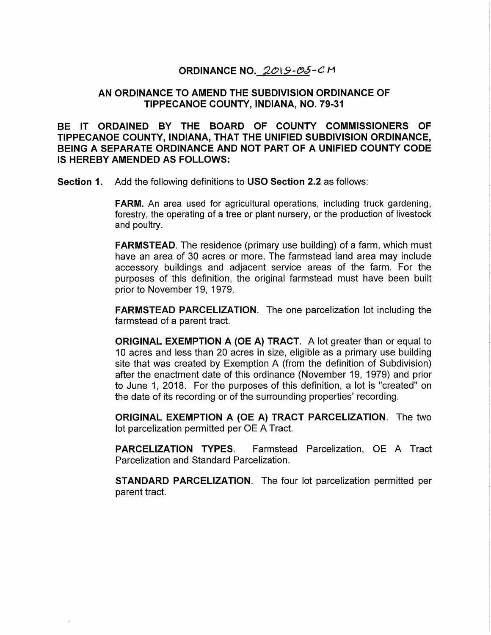### ORDINANCE NO.  $2019 - 05 - C$ M

# ORDINANCE NO. 2019-05-CM<br>AN ORDINANCE TO AMEND THE SUBDIVISION ORDINANCE OF ORDINANCE NO.*\_2019-05-C M*<br>ANCE TO AMEND THE SUBDIVISION ORDI<br>TIPPECANOE COUNTY, INDIANA, NO. 79-3<sup>1</sup>

TIPPECANOE COUNTY, INDIANA, NO. 79-31<br>BE IT ORDAINED BY THE BOARD OF COUNTY COMMISSIONERS OF TIPPECANOE COUNTY, INDIANA, THAT THE UNIFIED SUBDIVISION ORDINANCE, AN ORDINANCE TO AMEND THE SUBDIVISION ORDINANCE OF<br>TIPPECANOE COUNTY, INDIANA, NO. 79-31<br>BE IT ORDAINED BY THE BOARD OF COUNTY COMMISSIONERS OF<br>BEING A SEPARATE ORDINANCE AND NOT PART OF A UNIFIED COUNTY CODE<br>BEING A SEPAR IT ORDAINED BY THE BOARD<br>IS HERE TO ORDAINED BY THE BOARD<br>TIPPECANOE COUNTY, INDIANA, THE<br>BEING A SEPARATE ORDINANCE AN<br>IS HEREBY AMENDED AS FOLLOWS BE IT ORDAINED BY THE BOARD OF COUNTY COMMIS:<br>TIPPECANOE COUNTY, INDIANA, THAT THE UNIFIED SUBDIVISION<br>BEING A SEPARATE ORDINANCE AND NOT PART OF A UNIFIED C<br>IS HEREBY AMENDED AS FOLLOWS:<br>Section 1. Add the following defin

Add the following definitions to <mark>USO Section 2.2</mark> as follows:<br>FARM. An area used for agricultural operations, including truck gardening Add the following definitions to **USO Section 2.2** as follows:<br>FARM. An area used for agricultural operations, including truck gardening,<br>forestry, the operating of a tree or plant nursery, or the production of livestock and poultry. forestry, the operating of a tree or plant nursery, or the production of livestock<br>and poultry.<br>FARMSTEAD. The residence (primary use building) of a farm, which must

and poultry.<br>FARMSTEAD. The residence (primary use building) of a farm, which must<br>have an area of 30 acres or more. The farmstead land area may include FARMSTEAD. The residence (primary use building) of a farm, which must<br>have an area of 30 acres or more. The farmstead land area may include<br>accessory buildings and adjacent service areas of the farm. For the **FARMSTEAD**. The residence (primary use building) of a farm, which must have an area of 30 acres or more. The farmstead land area may include accessory buildings and adjacent service areas of the farm. For the purposes of Final area of 30 acres<br>accessory buildings and a<br>purposes of this definition,<br>prior to November 19, 1979 accessory buildings and adjacent service areas of the farm. For the purposes of this definition, the original farmstead must have been built prior to November 19, 1979.

farmstead of a parent tract. FARMSTEAD PARCELIZATION. The one parcelization lot including the

farmstead of a parent tract.<br><mark>ORIGINAL EXEMPTION A (OE A) TRACT</mark>. A lot greater than or equal to<br>10 acres and less than 20 acres in size, eligible as a primary use building FARMSTEAD PARCELIZATION. The one parcelization lot including the<br>farmstead of a parent tract.<br>ORIGINAL EXEMPTION A (OE A) TRACT. A lot greater than or equal to<br>10 acres and less than 20 acres in size, eligible as a primary **ORIGINAL EXEMPTION A (OE A) TRACT**. A lot greater than or equal to 10 acres and less than 20 acres in size, eligible as a primary use building site that was created by Exemption A (from the definition of Subdivision) afte 10 acres and less than 20 acres in size, eligible as a primary use building<br>site that was created by Exemption A (from the definition of Subdivision)<br>after the enactment date of this ordinance (November 19, 1979) and prior site that was created by Exemption A (from the definition of Subdivision)<br>after the enactment date of this ordinance (November 19, 1979) and prior<br>to June 1, 2018. For the purposes of this definition, a lot is "created" on to June 1, 2018. For the purposes of this definition, a lot is "created" on the date of its recording or of the surrounding properties' recording.<br>**ORIGINAL EXEMPTION A (OE A) TRACT PARCELIZATION**. The two lot parcelizatio

ORIGINAL EXEMPTION A (OE A) TRACT PARCELIZATION. The two<br>lot parcelization permitted per OE A Tract.<br>PARCELIZATION TYPES. Farmstead Parcelization, OE A Tract

Parcelization and Standard Parcelization. lot parcelization permitted per OE A Tract.<br>PARCELIZATION TYPES. Farmstead Parcelization, OE A Tract<br>Parcelization and Standard Parcelization.<br>STANDARD PARCELIZATION. The four lot parcelization permitted per

STANDARI<br>parent tract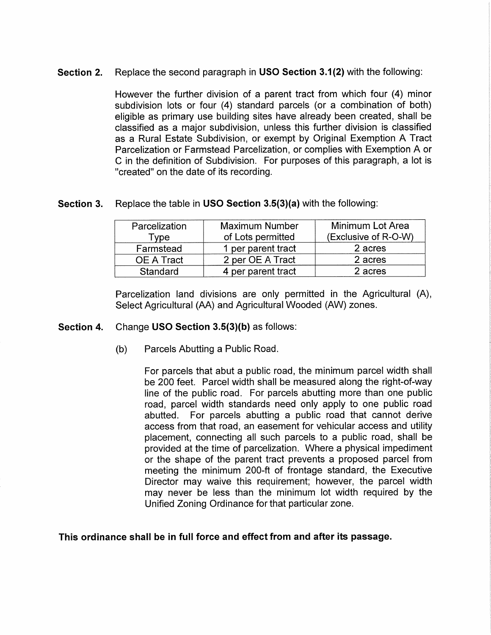### Section 2.

Section 2. Replace the second paragraph in USO Section 3.1(2) with the following:<br>
However the further division of a parent tract from which four (4) minor subtivision lots or four (4) standard parels (or a combination of

### Section 3.

| Parcelization         | <b>Maximum Number</b> | Minimum Lot Area     |
|-----------------------|-----------------------|----------------------|
| $\tau_{\texttt{Vpe}}$ | of Lots permitted     | (Exclusive of R-O-W) |
| Farmstead             | 1 per parent tract    | 2 acres              |
| OE A Tract            | 2 per OE A Tract      | 2 acres              |
| Standard              | 4 per parent tract    | 2 acres              |

## Change USO Section 3.5(3)(b) as follows:<br>(b) Parcels Abutting a Public Road.

For parcels that abut a public road, the minimum parcel width shall Parcels Abutting a Public Road.<br>For parcels that abut a public road, the minimum parcel width shall<br>be 200 feet. Parcel width shall be measured along the right-of-way For parcels that abut a public road, the minimum parcel width shall<br>be 200 feet. Parcel width shall be measured along the right-of-way<br>line of the public road. For parcels abutting more than one public For parcels that abut a public road, the minimum parcel width shal<br>be 200 feet. Parcel width shall be measured along the right-of-way<br>line of the public road. For parcels abutting more than one public<br>road, parcel width st be 200 feet. Parcel width shall be measured along the right-of-way<br>line of the public road. For parcels abutting more than one public<br>road, parcel width standards need only apply to one public road<br>abutted. For parcels abu For parcels that abut a public road, the minimum parcel width shall<br>be 200 feet. Parcel width shall be measured along the right-of-way<br>line of the public road. For parcels abutting more than one public<br>road, parcel width s placement, connecting all such parallel and that cannot derive access from that road, an easement for vehicular access and utility placement, connecting all such parcels to a public road, shall be provided at the time of p abutted. For parcels abutting a public road that cannot derive access from that road, an easement for vehicular access and utility placement, connecting all such parcels to a public road, shall be provided at the time of p provided at the time of parcelization. Where a physical impediment<br>or the shape of the parent tract prevents a proposed parcel from<br>meeting the minimum 200-ft of frontage standard, the Executive<br>Director may waive this req placement, connecting all such parcels to a public road, shall be<br>provided at the time of parcelization. Where a physical impediment<br>or the shape of the parent tract prevents a proposed parcel from<br>meeting the minimum 200meeting the minimum 200-ft of frontage standard, the Executive<br>Director may waive this requirement; however, the parcel width<br>may never be less than the minimum lot width required by the<br>Unified Zoning Ordinance for that p

### This ordinance shall be in full force and effect from and after its passage.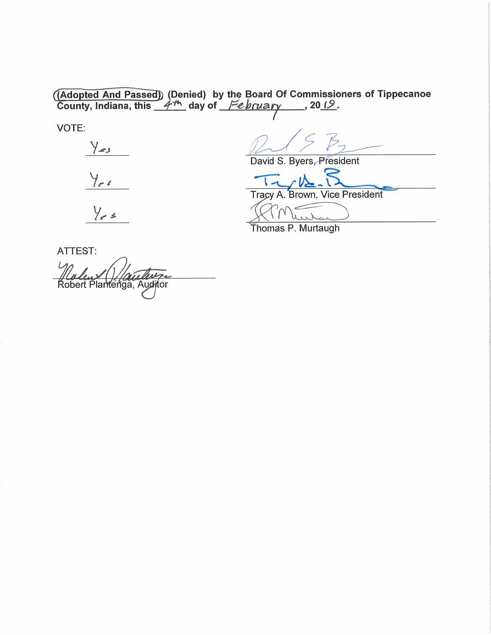(Adopted And Passed) (Denied) by the Board Of Commissioners of Tippecanoe<br>County, Indiana, this  $4^m$  day of February 1012.

VOTE:

 $Y_{es}$ 

 $Y_{rs}$ 

 $\frac{1}{2}$ 

 $B$  $\varsigma$ 

David S. Byers, President

Brown, Vice President Tracy A.

Thomas P. Murtaugh

ATTEST: **Kobert Plantenga, Auditor**